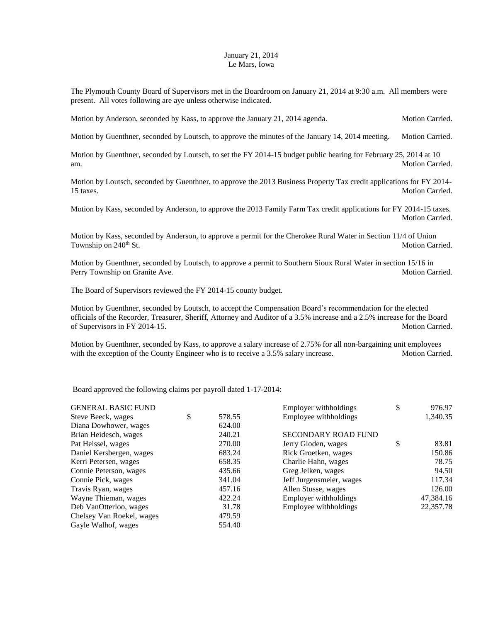## January 21, 2014 Le Mars, Iowa

The Plymouth County Board of Supervisors met in the Boardroom on January 21, 2014 at 9:30 a.m. All members were present. All votes following are aye unless otherwise indicated.

Motion by Anderson, seconded by Kass, to approve the January 21, 2014 agenda. Motion Carried.

Motion by Guenthner, seconded by Loutsch, to approve the minutes of the January 14, 2014 meeting. Motion Carried.

Motion by Guenthner, seconded by Loutsch, to set the FY 2014-15 budget public hearing for February 25, 2014 at 10 am. Motion Carried.

Motion by Loutsch, seconded by Guenthner, to approve the 2013 Business Property Tax credit applications for FY 2014- 15 taxes. Motion Carried.

Motion by Kass, seconded by Anderson, to approve the 2013 Family Farm Tax credit applications for FY 2014-15 taxes. Motion Carried.

Motion by Kass, seconded by Anderson, to approve a permit for the Cherokee Rural Water in Section 11/4 of Union Township on 240<sup>th</sup> St. Motion Carried.

Motion by Guenthner, seconded by Loutsch, to approve a permit to Southern Sioux Rural Water in section 15/16 in Perry Township on Granite Ave. **Motion Carried.** Motion Carried.

The Board of Supervisors reviewed the FY 2014-15 county budget.

Motion by Guenthner, seconded by Loutsch, to accept the Compensation Board's recommendation for the elected officials of the Recorder, Treasurer, Sheriff, Attorney and Auditor of a 3.5% increase and a 2.5% increase for the Board of Supervisors in FY 2014-15. Motion Carried.

Motion by Guenthner, seconded by Kass, to approve a salary increase of 2.75% for all non-bargaining unit employees with the exception of the County Engineer who is to receive a 3.5% salary increase. Motion Carried.

Board approved the following claims per payroll dated 1-17-2014:

| <b>GENERAL BASIC FUND</b> |              | Employer withholdings    | \$<br>976.97 |
|---------------------------|--------------|--------------------------|--------------|
| Steve Beeck, wages        | \$<br>578.55 | Employee withholdings    | 1,340.35     |
| Diana Dowhower, wages     | 624.00       |                          |              |
| Brian Heidesch, wages     | 240.21       | SECONDARY ROAD FUND      |              |
| Pat Heissel, wages        | 270.00       | Jerry Gloden, wages      | \$<br>83.81  |
| Daniel Kersbergen, wages  | 683.24       | Rick Groetken, wages     | 150.86       |
| Kerri Petersen, wages     | 658.35       | Charlie Hahn, wages      | 78.75        |
| Connie Peterson, wages    | 435.66       | Greg Jelken, wages       | 94.50        |
| Connie Pick, wages        | 341.04       | Jeff Jurgensmeier, wages | 117.34       |
| Travis Ryan, wages        | 457.16       | Allen Stusse, wages      | 126.00       |
| Wayne Thieman, wages      | 422.24       | Employer withholdings    | 47,384.16    |
| Deb VanOtterloo, wages    | 31.78        | Employee withholdings    | 22,357.78    |
| Chelsey Van Roekel, wages | 479.59       |                          |              |
| Gayle Walhof, wages       | 554.40       |                          |              |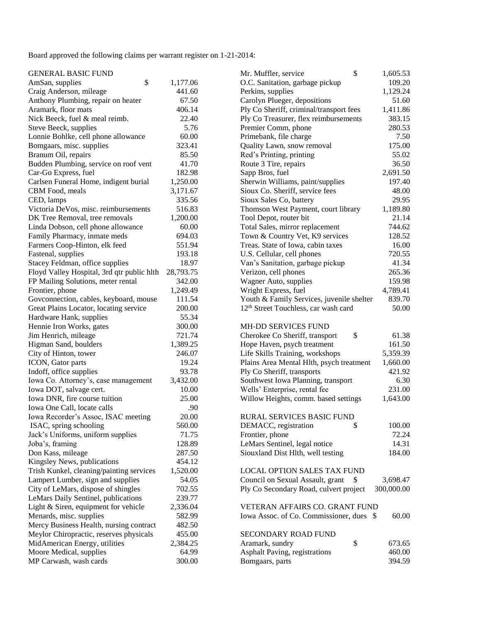Board approved the following claims per warrant register on 1-21-2014:

| <b>GENERAL BASIC FUND</b>                  |           | \$<br>Mr. Muffler, service                       | 1,605.53   |
|--------------------------------------------|-----------|--------------------------------------------------|------------|
| \$<br>AmSan, supplies                      | 1,177.06  | O.C. Sanitation, garbage pickup                  | 109.20     |
| Craig Anderson, mileage                    | 441.60    | Perkins, supplies                                | 1,129.24   |
| Anthony Plumbing, repair on heater         | 67.50     | Carolyn Plueger, depositions                     | 51.60      |
| Aramark, floor mats                        | 406.14    | Ply Co Sheriff, criminal/transport fees          | 1,411.86   |
| Nick Beeck, fuel & meal reimb.             | 22.40     | Ply Co Treasurer, flex reimbursements            | 383.15     |
| Steve Beeck, supplies                      | 5.76      | Premier Comm, phone                              | 280.53     |
| Lonnie Bohlke, cell phone allowance        | 60.00     | Primebank, file charge                           | 7.50       |
| Bomgaars, misc. supplies                   | 323.41    | Quality Lawn, snow removal                       | 175.00     |
| Branum Oil, repairs                        | 85.50     | Red's Printing, printing                         | 55.02      |
| Budden Plumbing, service on roof vent      | 41.70     | Route 3 Tire, repairs                            | 36.50      |
| Car-Go Express, fuel                       | 182.98    | Sapp Bros, fuel                                  | 2,691.50   |
| Carlsen Funeral Home, indigent burial      | 1,250.00  | Sherwin Williams, paint/supplies                 | 197.40     |
| CBM Food, meals                            | 3,171.67  | Sioux Co. Sheriff, service fees                  | 48.00      |
| CED, lamps                                 | 335.56    | Sioux Sales Co, battery                          | 29.95      |
| Victoria DeVos, misc. reimbursements       | 516.83    | Thomson West Payment, court library              | 1,189.80   |
| DK Tree Removal, tree removals             | 1,200.00  | Tool Depot, router bit                           | 21.14      |
| Linda Dobson, cell phone allowance         | 60.00     | Total Sales, mirror replacement                  | 744.62     |
| Family Pharmacy, inmate meds               | 694.03    | Town & Country Vet, K9 services                  | 128.52     |
| Farmers Coop-Hinton, elk feed              | 551.94    | Treas. State of Iowa, cabin taxes                | 16.00      |
| Fastenal, supplies                         | 193.18    | U.S. Cellular, cell phones                       | 720.55     |
| Stacey Feldman, office supplies            | 18.97     | Van's Sanitation, garbage pickup                 | 41.34      |
| Floyd Valley Hospital, 3rd qtr public hlth | 28,793.75 | Verizon, cell phones                             | 265.36     |
| FP Mailing Solutions, meter rental         | 342.00    | Wagner Auto, supplies                            | 159.98     |
| Frontier, phone                            | 1,249.49  | Wright Express, fuel                             | 4,789.41   |
| Govconnection, cables, keyboard, mouse     | 111.54    | Youth & Family Services, juvenile shelter        | 839.70     |
| Great Plains Locator, locating service     | 200.00    | 12 <sup>th</sup> Street Touchless, car wash card | 50.00      |
| Hardware Hank, supplies                    | 55.34     |                                                  |            |
| Hennie Iron Works, gates                   | 300.00    | <b>MH-DD SERVICES FUND</b>                       |            |
| Jim Henrich, mileage                       | 721.74    | \$<br>Cherokee Co Sheriff, transport             | 61.38      |
| Higman Sand, boulders                      | 1,389.25  | Hope Haven, psych treatment                      | 161.50     |
| City of Hinton, tower                      | 246.07    | Life Skills Training, workshops                  | 5,359.39   |
| ICON, Gator parts                          | 19.24     | Plains Area Mental Hlth, psych treatment         | 1,660.00   |
| Indoff, office supplies                    | 93.78     | Ply Co Sheriff, transports                       | 421.92     |
| Iowa Co. Attorney's, case management       | 3,432.00  | Southwest Iowa Planning, transport               | 6.30       |
| Iowa DOT, salvage cert.                    | 10.00     | Wells' Enterprise, rental fee                    | 231.00     |
| Iowa DNR, fire course tuition              | 25.00     | Willow Heights, comm. based settings             | 1,643.00   |
| Iowa One Call, locate calls                | .90       |                                                  |            |
| Iowa Recorder's Assoc, ISAC meeting        | 20.00     | <b>RURAL SERVICES BASIC FUND</b>                 |            |
| ISAC, spring schooling                     | 560.00    | DEMACC, registration<br>\$                       | 100.00     |
| Jack's Uniforms, uniform supplies          | 71.75     | Frontier, phone                                  | 72.24      |
| Joba's, framing                            | 128.89    | LeMars Sentinel, legal notice                    | 14.31      |
| Don Kass, mileage                          | 287.50    | Siouxland Dist Hlth, well testing                | 184.00     |
| Kingsley News, publications                | 454.12    |                                                  |            |
| Trish Kunkel, cleaning/painting services   | 1,520.00  | <b>LOCAL OPTION SALES TAX FUND</b>               |            |
| Lampert Lumber, sign and supplies          | 54.05     | Council on Sexual Assault, grant<br>\$           | 3,698.47   |
| City of LeMars, dispose of shingles        | 702.55    | Ply Co Secondary Road, culvert project           | 300,000.00 |
| LeMars Daily Sentinel, publications        | 239.77    |                                                  |            |
| Light & Siren, equipment for vehicle       | 2,336.04  | VETERAN AFFAIRS CO. GRANT FUND                   |            |
| Menards, misc. supplies                    | 582.99    | Iowa Assoc. of Co. Commissioner, dues \$         | 60.00      |
| Mercy Business Health, nursing contract    | 482.50    |                                                  |            |
| Meylor Chiropractic, reserves physicals    | 455.00    | SECONDARY ROAD FUND                              |            |
| MidAmerican Energy, utilities              | 2,384.25  | \$<br>Aramark, sundry                            | 673.65     |
| Moore Medical, supplies                    | 64.99     | Asphalt Paving, registrations                    | 460.00     |
| MP Carwash, wash cards                     | 300.00    | Bomgaars, parts                                  | 394.59     |
|                                            |           |                                                  |            |

| Mr. Muffler, service                             | \$ | 1,605.53   |
|--------------------------------------------------|----|------------|
| O.C. Sanitation, garbage pickup                  |    | 109.20     |
| Perkins, supplies                                |    | 1,129.24   |
| Carolyn Plueger, depositions                     |    | 51.60      |
| Ply Co Sheriff, criminal/transport fees          |    | 1,411.86   |
| Ply Co Treasurer, flex reimbursements            |    | 383.15     |
| Premier Comm, phone                              |    | 280.53     |
| Primebank, file charge                           |    | 7.50       |
| Quality Lawn, snow removal                       |    | 175.00     |
| Red's Printing, printing                         |    | 55.02      |
| Route 3 Tire, repairs                            |    | 36.50      |
| Sapp Bros, fuel                                  |    | 2,691.50   |
| Sherwin Williams, paint/supplies                 |    | 197.40     |
| Sioux Co. Sheriff, service fees                  |    | 48.00      |
| Sioux Sales Co, battery                          |    | 29.95      |
| Thomson West Payment, court library              |    | 1,189.80   |
| Tool Depot, router bit                           |    | 21.14      |
| Total Sales, mirror replacement                  |    | 744.62     |
| Town & Country Vet, K9 services                  |    | 128.52     |
| Treas. State of Iowa, cabin taxes                |    | 16.00      |
| U.S. Cellular, cell phones                       |    | 720.55     |
| Van's Sanitation, garbage pickup                 |    | 41.34      |
| Verizon, cell phones                             |    | 265.36     |
| Wagner Auto, supplies                            |    | 159.98     |
| Wright Express, fuel                             |    | 4,789.41   |
| Youth & Family Services, juvenile shelter        |    | 839.70     |
| 12 <sup>th</sup> Street Touchless, car wash card |    | 50.00      |
|                                                  |    |            |
| <b>MH-DD SERVICES FUND</b>                       |    |            |
| Cherokee Co Sheriff, transport                   | \$ | 61.38      |
| Hope Haven, psych treatment                      |    | 161.50     |
| Life Skills Training, workshops                  |    | 5,359.39   |
| Plains Area Mental Hlth, psych treatment         |    | 1,660.00   |
| Ply Co Sheriff, transports                       |    | 421.92     |
| Southwest Iowa Planning, transport               |    | 6.30       |
| Wells' Enterprise, rental fee                    |    | 231.00     |
| Willow Heights, comm. based settings             |    | 1,643.00   |
|                                                  |    |            |
| RURAL SERVICES BASIC FUND                        |    |            |
| DEMACC, registration                             | \$ | 100.00     |
| Frontier, phone                                  |    | 72.24      |
| LeMars Sentinel, legal notice                    |    | 14.31      |
| Siouxland Dist Hlth, well testing                |    | 184.00     |
| <b>LOCAL OPTION SALES TAX FUND</b>               |    |            |
| Council on Sexual Assault, grant                 | \$ | 3,698.47   |
| Ply Co Secondary Road, culvert project           |    | 300,000.00 |
|                                                  |    |            |
| VETERAN AFFAIRS CO. GRANT FUND                   |    |            |
| Iowa Assoc. of Co. Commissioner, dues            | S  | 60.00      |
|                                                  |    |            |
| <b>SECONDARY ROAD FUND</b>                       |    |            |
| Aramark, sundry                                  | \$ | 673.65     |
| Asphalt Paving, registrations                    |    | 460.00     |
| Bomgaars, parts                                  |    | 394.59     |